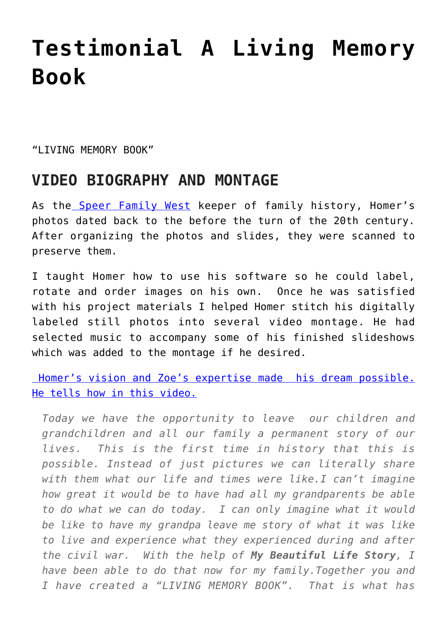## **[Testimonial A Living Memory](https://mybeautifullifestory.com/testimonial-a-living-memory-book/) [Book](https://mybeautifullifestory.com/testimonial-a-living-memory-book/)**

"I TVTNG MEMORY BOOK"

## **VIDEO BIOGRAPHY AND MONTAGE**

As the [Speer Family West](http://speerfamilywest.com/) keeper of family history, Homer's photos dated back to the before the turn of the 20th century. After organizing the photos and slides, they were scanned to preserve them.

I taught Homer how to use his software so he could label, rotate and order images on his own. Once he was satisfied with his project materials I helped Homer stitch his digitally labeled still photos into several video montage. He had selected music to accompany some of his finished slideshows which was added to the montage if he desired.

 [Homer's vision and Zoe's expertise made his dream possible.](https://youtu.be/RWUcck71Ss0?t=3s) [He tells how in this video.](https://youtu.be/RWUcck71Ss0?t=3s)

*Today we have the opportunity to leave our children and grandchildren and all our family a permanent story of our lives. This is the first time in history that this is possible. Instead of just pictures we can literally share with them what our life and times were like.I can't imagine how great it would be to have had all my grandparents be able to do what we can do today. I can only imagine what it would be like to have my grandpa leave me story of what it was like to live and experience what they experienced during and after the civil war. With the help of My Beautiful Life Story, I have been able to do that now for my family.Together you and I have created a "LIVING MEMORY BOOK". That is what has*